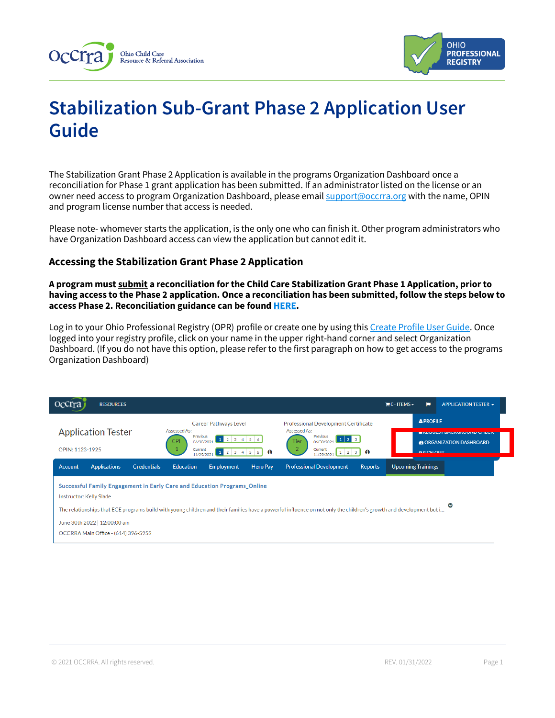



# **Stabilization Sub-Grant Phase 2 Application User Guide**

The Stabilization Grant Phase 2 Application is available in the programs Organization Dashboard once a reconciliation for Phase 1 grant application has been submitted. If an administrator listed on the license or an owner need access to program Organization Dashboard, please emai[l support@occrra.org](mailto:support@occrra.org) with the name, OPIN and program license number that access is needed.

Please note- whomever starts the application, is the only one who can finish it. Other program administrators who have Organization Dashboard access can view the application but cannot edit it.

# **Accessing the Stabilization Grant Phase 2 Application**

**A program must submit a reconciliation for the Child Care Stabilization Grant Phase 1 Application, prior to having access to the Phase 2 application. Once a reconciliation has been submitted, follow the steps below to access Phase 2. Reconciliation guidance can be foun[d HERE.](https://occrra.org/ohio-professional-registry/one-time-pandemic-payment-2/)**

Log in to your Ohio Professional Registry (OPR) profile or create one by using thi[s Create Profile User Guide.](chrome-extension://efaidnbmnnnibpcajpcglclefindmkaj/viewer.html?pdfurl=https%3A%2F%2Fd2hfgw7vtnz2tl.cloudfront.net%2Fwp-content%2Fuploads%2F2021%2F08%2Fopr-create-profile-user-guide.pdf&chunk=true) Once logged into your registry profile, click on your name in the upper right-hand corner and select Organization Dashboard. (If you do not have this option, please refer to the first paragraph on how to get access to the programs Organization Dashboard)

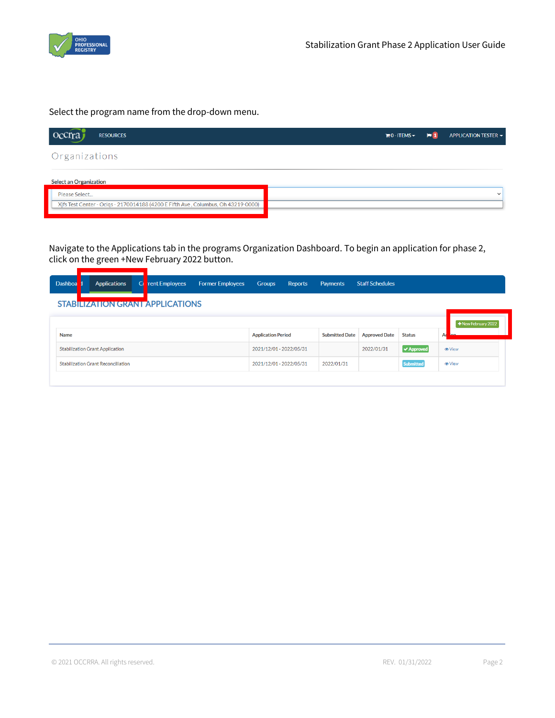

Select the program name from the drop-down menu.

| occrraj<br><b>RESOURCES</b>                                                                        | $\mathbb{H}$ 0 - ITEMS $\sim$ | $\blacksquare$ | APPLICATION TESTER - |
|----------------------------------------------------------------------------------------------------|-------------------------------|----------------|----------------------|
| Organizations                                                                                      |                               |                |                      |
| <b>Select an Organization</b>                                                                      |                               |                |                      |
| Please Select<br>Xifs Test Center - Oclqs - 2170014188 (4200 E Fifth Ave, Columbus, Oh 43219-0000) |                               |                | $\checkmark$         |

Navigate to the Applications tab in the programs Organization Dashboard. To begin an application for phase 2, click on the green +New February 2022 button.

| Dashboa                                 |  | <b>Applications</b>                       | Cı | <b>rent Employees</b> | <b>Former Employees</b> | <b>Groups</b>             | Reports | Payments              | <b>Staff Schedules</b> |                                |                      |
|-----------------------------------------|--|-------------------------------------------|----|-----------------------|-------------------------|---------------------------|---------|-----------------------|------------------------|--------------------------------|----------------------|
| <b>STABILIZATION GRANT APPLICATIONS</b> |  |                                           |    |                       |                         |                           |         |                       |                        |                                |                      |
|                                         |  |                                           |    |                       |                         |                           |         |                       |                        |                                | +New February 2022   |
| <b>Name</b>                             |  |                                           |    |                       |                         | <b>Application Period</b> |         | <b>Submitted Date</b> | <b>Approved Date</b>   | <b>Status</b>                  | Ad<br>$\sim$         |
|                                         |  | <b>Stabilization Grant Application</b>    |    |                       |                         | 2021/12/01 - 2022/05/31   |         |                       | 2022/01/31             | $\blacktriangleright$ Approved | <b><i>O</i></b> View |
|                                         |  | <b>Stabilization Grant Reconciliation</b> |    |                       |                         | 2021/12/01 - 2022/05/31   |         | 2022/01/31            |                        | <b>Submitted</b>               | <b>O</b> View        |
|                                         |  |                                           |    |                       |                         |                           |         |                       |                        |                                |                      |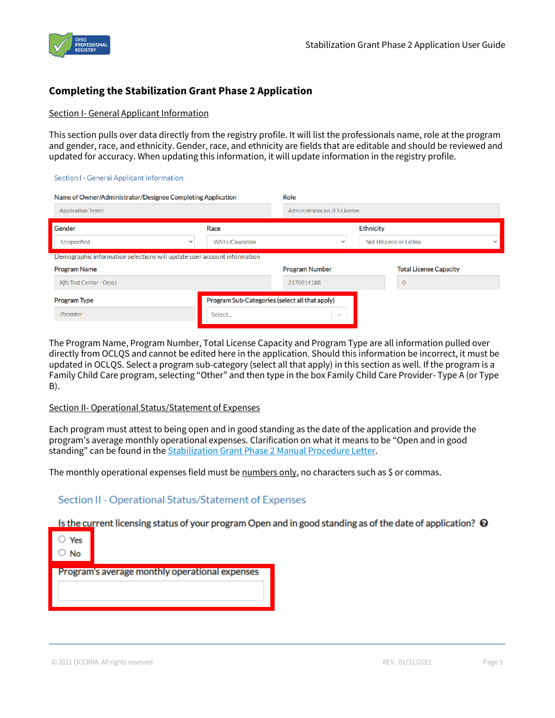

# **Completing the Stabilization Grant Phase 2 Application**

#### Section I- General Applicant Information

This section pulls over data directly from the registry profile. It will list the professionals name, role at the program and gender, race, and ethnicity. Gender, race, and ethnicity are fields that are editable and should be reviewed and updated for accuracy. When updating this information, it will update information in the registry profile.

#### Section I - General Applicant Information

| Name of Owner/Administrator/Designee Completing Application             |                                                | Role                         |                        |                               |              |  |
|-------------------------------------------------------------------------|------------------------------------------------|------------------------------|------------------------|-------------------------------|--------------|--|
| <b>Application Tester</b>                                               |                                                | Administrator on JFS License |                        |                               |              |  |
| Gender                                                                  | Race                                           |                              | <b>Ethnicity</b>       |                               |              |  |
| Unspecified<br>$\checkmark$                                             | White/Caucasian                                | $\checkmark$                 | Not Hispanic or Latino |                               | $\checkmark$ |  |
| Demographic information selections will update user account information |                                                |                              |                        |                               |              |  |
| <b>Program Name</b>                                                     |                                                | <b>Program Number</b>        |                        | <b>Total License Capacity</b> |              |  |
| Xifs Test Center - Oclgs                                                |                                                | 2170014188                   |                        | $\overline{0}$                |              |  |
| <b>Program Type</b>                                                     | Program Sub-Categories (select all that apply) |                              |                        |                               |              |  |
| <b>Jfscenter</b>                                                        | Select                                         | $\searrow$                   |                        |                               |              |  |

The Program Name, Program Number, Total License Capacity and Program Type are all information pulled over directly from OCLQS and cannot be edited here in the application. Should this information be incorrect, it must be updated in OCLQS. Select a program sub-category (select all that apply) in this section as well. If the program is a Family Child Care program, selecting "Other" and then type in the box Family Child Care Provider- Type A (or Type B).

#### Section II- Operational Status/Statement of Expenses

Each program must attest to being open and in good standing as the date of the application and provide the program's average monthly operational expenses. Clarification on what it means to be "Open and in good standing" can be found in the [Stabilization Grant Phase 2 Manual Procedure Letter.](https://d2hfgw7vtnz2tl.cloudfront.net/wp-content/uploads/2022/01/Stabilization-Grant-Phase-2-Manual-Procedure-Letter.pdf)

The monthly operational expenses field must be numbers only, no characters such as \$ or commas.

#### Section II - Operational Status/Statement of Expenses

Is the current licensing status of your program Open and in good standing as of the date of application?  $\Theta$ 

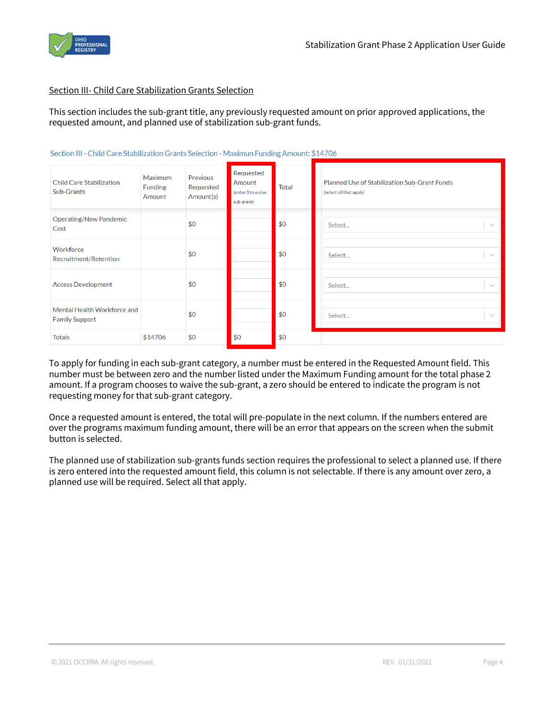

#### Section III- Child Care Stabilization Grants Selection

This section includes the sub-grant title, any previously requested amount on prior approved applications, the requested amount, and planned use of stabilization sub-grant funds.

| <b>Child Care Stabilization</b><br>Sub-Grants        | Maximum<br><b>Funding</b><br>Amount | Previous<br>Requested<br>Amount(s) | Requested<br>Amount<br>(enter 0 to waive<br>sub-grant) | Total | <b>Planned Use of Stabilization Sub-Grant Funds</b><br>(select all that apply) |
|------------------------------------------------------|-------------------------------------|------------------------------------|--------------------------------------------------------|-------|--------------------------------------------------------------------------------|
| <b>Operating/New Pandemic</b><br>Cost                |                                     | \$0                                |                                                        | \$0   | Select<br>$\sim$                                                               |
| Workforce<br>Recruitment/Retention                   |                                     | \$0                                |                                                        | \$0   | Select<br>$\searrow$                                                           |
| <b>Access Development</b>                            |                                     | \$0                                |                                                        | \$0   | Select<br>$\sim$                                                               |
| Mental Health Workforce and<br><b>Family Support</b> |                                     | \$0                                |                                                        | \$0   | Select<br>$\sim$                                                               |
| <b>Totals</b>                                        | \$14706                             | \$0                                | \$0                                                    | \$0   |                                                                                |

Section III - Child Care Stabilization Grants Selection - Maximun Funding Amount: \$14706

To apply for funding in each sub-grant category, a number must be entered in the Requested Amount field. This number must be between zero and the number listed under the Maximum Funding amount for the total phase 2 amount. If a program chooses to waive the sub-grant, a zero should be entered to indicate the program is not requesting money for that sub-grant category.

Once a requested amount is entered, the total will pre-populate in the next column. If the numbers entered are over the programs maximum funding amount, there will be an error that appears on the screen when the submit button is selected.

The planned use of stabilization sub-grants funds section requires the professional to select a planned use. If there is zero entered into the requested amount field, this column is not selectable. If there is any amount over zero, a planned use will be required. Select all that apply.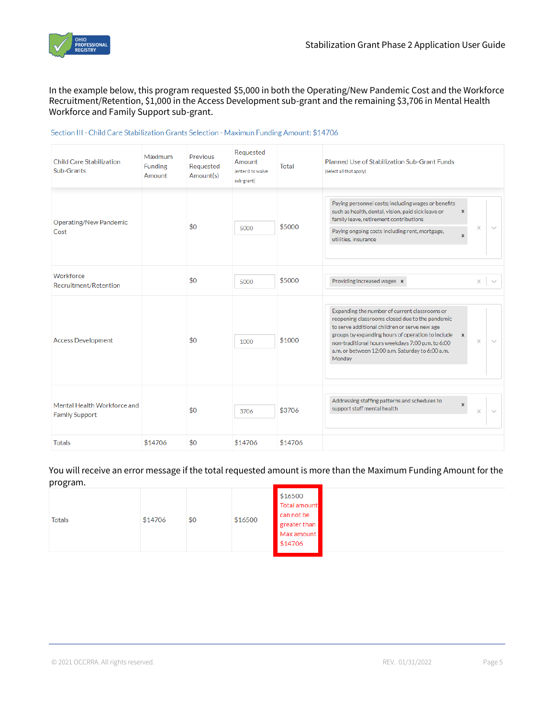

In the example below, this program requested \$5,000 in both the Operating/New Pandemic Cost and the Workforce Recruitment/Retention, \$1,000 in the Access Development sub-grant and the remaining \$3,706 in Mental Health Workforce and Family Support sub-grant.

| <b>Child Care Stabilization</b><br>Sub-Grants        | Maximum<br><b>Funding</b><br>Amount | Previous<br>Requested<br>Amount(s) | Requested<br>Amount<br>(enter 0 to waive<br>sub-grant) | <b>Total</b> | Planned Use of Stabilization Sub-Grant Funds<br>(select all that apply)                                                                                                                                                                                                                                                                                    |
|------------------------------------------------------|-------------------------------------|------------------------------------|--------------------------------------------------------|--------------|------------------------------------------------------------------------------------------------------------------------------------------------------------------------------------------------------------------------------------------------------------------------------------------------------------------------------------------------------------|
| <b>Operating/New Pandemic</b><br>Cost                |                                     | \$0                                | 5000                                                   | \$5000       | Paying personnel costs; including wages or benefits<br>such as health, dental, vision, paid sick leave or<br>×<br>family leave, retirement contributions<br>$\times$<br>Paying ongoing costs including rent, mortgage,<br>×<br>utilities, insurance                                                                                                        |
| Workforce<br>Recruitment/Retention                   |                                     | \$0                                | 5000                                                   | \$5000       | Providing increased wages x<br>$\times$<br>$\sim$                                                                                                                                                                                                                                                                                                          |
| <b>Access Development</b>                            |                                     | \$0                                | 1000                                                   | \$1000       | Expanding the number of current classrooms or<br>reopening classrooms closed due to the pandemic<br>to serve additional children or serve new age<br>groups by expanding hours of operation to include<br>$\times$<br>$\times$<br>$\sim$<br>non-traditional hours weekdays 7:00 p.m. to 6:00<br>a.m. or between 12:00 a.m. Saturday to 6:00 a.m.<br>Monday |
| Mental Health Workforce and<br><b>Family Support</b> |                                     | \$0                                | 3706                                                   | \$3706       | Addressing staffing patterns and schedules to<br>×<br>support staff mental health<br>$\times$<br>$\sim$                                                                                                                                                                                                                                                    |
| <b>Totals</b>                                        | \$14706                             | \$0                                | \$14706                                                | \$14706      |                                                                                                                                                                                                                                                                                                                                                            |

#### Section III - Child Care Stabilization Grants Selection - Maximun Funding Amount: \$14706

You will receive an error message if the total requested amount is more than the Maximum Funding Amount for the program.

| <b>Totals</b> | \$14706 | \$0 | \$16500 | \$16500<br>Total amount<br>can not be<br>greater than<br>Max amount<br>\$14706 |  |
|---------------|---------|-----|---------|--------------------------------------------------------------------------------|--|
|---------------|---------|-----|---------|--------------------------------------------------------------------------------|--|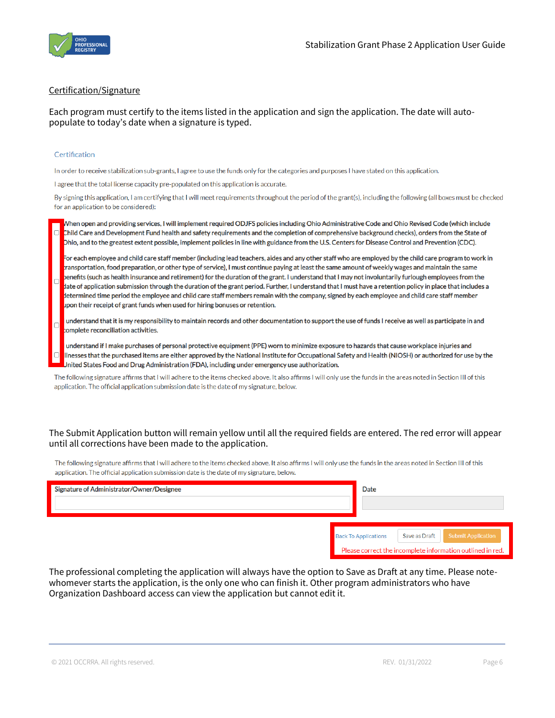

#### Certification/Signature

Each program must certify to the items listed in the application and sign the application. The date will autopopulate to today's date when a signature is typed.

#### Certification

In order to receive stabilization sub-grants, I agree to use the funds only for the categories and purposes I have stated on this application.

I agree that the total license capacity pre-populated on this application is accurate.

By signing this application, I am certifying that I will meet requirements throughout the period of the grant(s), including the following (all boxes must be checked for an application to be considered):

When open and providing services, I will implement required ODJFS policies including Ohio Administrative Code and Ohio Revised Code (which include Child Care and Development Fund health and safety requirements and the completion of comprehensive background checks), orders from the State of Dhio, and to the greatest extent possible, implement policies in line with guidance from the U.S. Centers for Disease Control and Prevention (CDC).

For each employee and child care staff member (including lead teachers, aides and any other staff who are employed by the child care program to work in ransportation, food preparation, or other type of service), I must continue paying at least the same amount of weekly wages and maintain the same penefits (such as health insurance and retirement) for the duration of the grant. I understand that I may not involuntarily furlough employees from the date of application submission through the duration of the grant period. Further, I understand that I must have a retention policy in place that includes a determined time period the employee and child care staff members remain with the company, signed by each employee and child care staff member upon their receipt of grant funds when used for hiring bonuses or retention.

understand that it is my responsibility to maintain records and other documentation to support the use of funds I receive as well as participate in and complete reconciliation activities.

understand if I make purchases of personal protective equipment (PPE) worn to minimize exposure to hazards that cause workplace injuries and Ilnesses that the purchased items are either approved by the National Institute for Occupational Safety and Health (NIOSH) or authorized for use by the Jnited States Food and Drug Administration (FDA), including under emergency use authorization.

The following signature affirms that I will adhere to the items checked above. It also affirms I will only use the funds in the areas noted in Section III of this application. The official application submission date is the date of my signature, below.

#### The Submit Application button will remain yellow until all the required fields are entered. The red error will appear until all corrections have been made to the application.

The following signature affirms that I will adhere to the items checked above. It also affirms I will only use the funds in the areas noted in Section III of this application. The official application submission date is the date of my signature, below.

| Signature of Administrator/Owner/Designee | Date                        |               |                                                            |
|-------------------------------------------|-----------------------------|---------------|------------------------------------------------------------|
|                                           |                             |               |                                                            |
|                                           |                             |               |                                                            |
|                                           | <b>Back To Applications</b> | Save as Draft | <b>Submit Application</b>                                  |
|                                           |                             |               | Please correct the incomplete information outlined in red. |

The professional completing the application will always have the option to Save as Draft at any time. Please notewhomever starts the application, is the only one who can finish it. Other program administrators who have Organization Dashboard access can view the application but cannot edit it.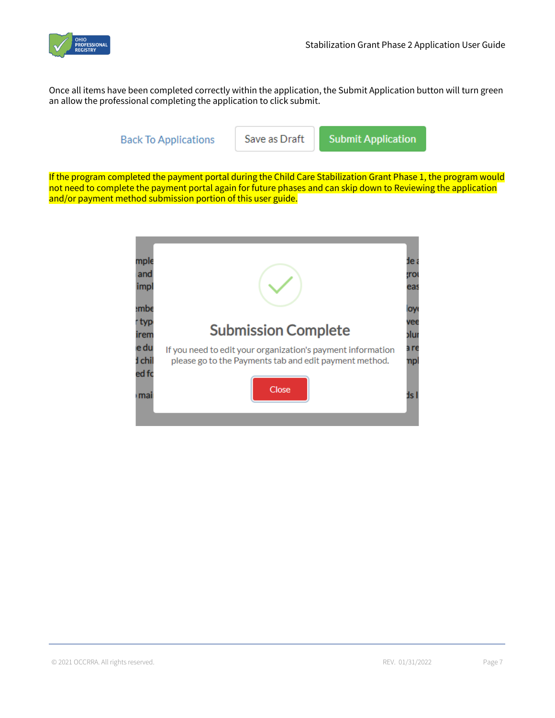

Once all items have been completed correctly within the application, the Submit Application button will turn green an allow the professional completing the application to click submit.

**Back To Applications** 

Save as Draft

**Submit Application** 

If the program completed the payment portal during the Child Care Stabilization Grant Phase 1, the program would not need to complete the payment portal again for future phases and can skip down to Reviewing the application and/or payment method submission portion of this user guide.

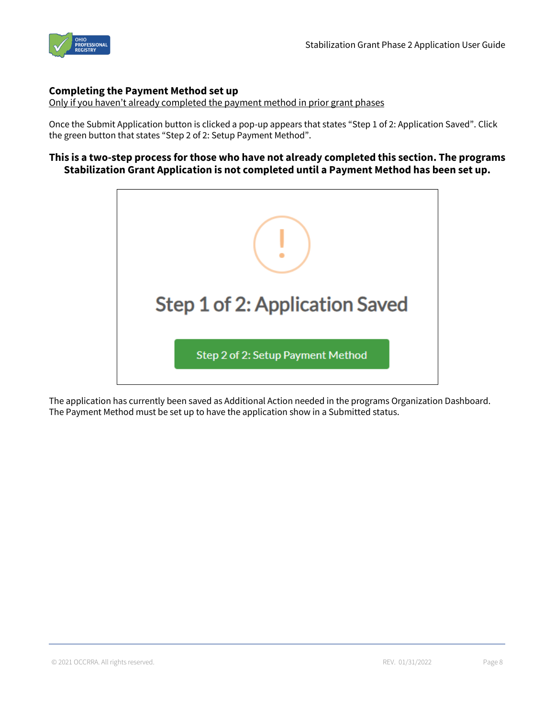

#### **Completing the Payment Method set up**

Only if you haven't already completed the payment method in prior grant phases

Once the Submit Application button is clicked a pop-up appears that states "Step 1 of 2: Application Saved". Click the green button that states "Step 2 of 2: Setup Payment Method".

# **This is a two-step process for those who have not already completed this section. The programs Stabilization Grant Application is not completed until a Payment Method has been set up.**



The application has currently been saved as Additional Action needed in the programs Organization Dashboard. The Payment Method must be set up to have the application show in a Submitted status.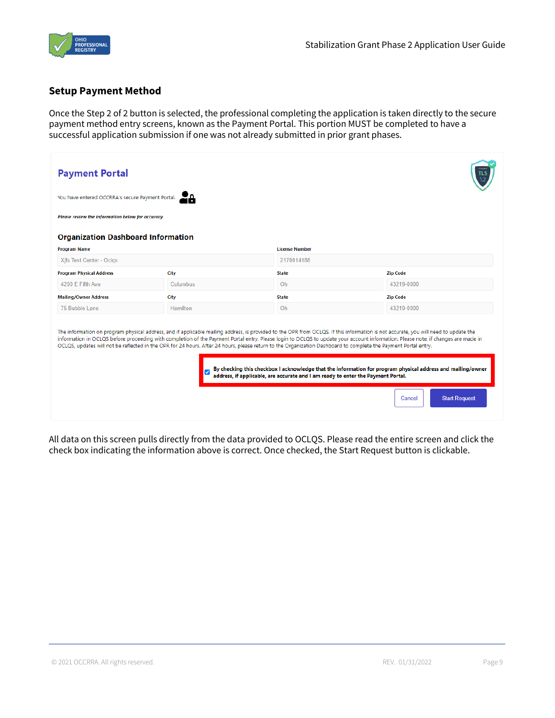

#### **Setup Payment Method**

Once the Step 2 of 2 button is selected, the professional completing the application is taken directly to the secure payment method entry screens, known as the Payment Portal. This portion MUST be completed to have a successful application submission if one was not already submitted in prior grant phases.

| <b>Payment Portal</b>                             |          |                                                                                                                                                                                                                                                     |                                                                                                                                                                                                                                                                                                                                                                                                                                                                                                                           |
|---------------------------------------------------|----------|-----------------------------------------------------------------------------------------------------------------------------------------------------------------------------------------------------------------------------------------------------|---------------------------------------------------------------------------------------------------------------------------------------------------------------------------------------------------------------------------------------------------------------------------------------------------------------------------------------------------------------------------------------------------------------------------------------------------------------------------------------------------------------------------|
| You have entered OCCRRA's secure Payment Portal.  |          |                                                                                                                                                                                                                                                     |                                                                                                                                                                                                                                                                                                                                                                                                                                                                                                                           |
| Please review the information below for accuracy. |          |                                                                                                                                                                                                                                                     |                                                                                                                                                                                                                                                                                                                                                                                                                                                                                                                           |
| <b>Organization Dashboard Information</b>         |          |                                                                                                                                                                                                                                                     |                                                                                                                                                                                                                                                                                                                                                                                                                                                                                                                           |
| <b>Program Name</b>                               |          | <b>License Number</b>                                                                                                                                                                                                                               |                                                                                                                                                                                                                                                                                                                                                                                                                                                                                                                           |
| Xifs Test Center - Oclgs                          |          | 2170014188                                                                                                                                                                                                                                          |                                                                                                                                                                                                                                                                                                                                                                                                                                                                                                                           |
| <b>Program Physical Address</b>                   | City     | <b>State</b>                                                                                                                                                                                                                                        | <b>Zip Code</b>                                                                                                                                                                                                                                                                                                                                                                                                                                                                                                           |
| 4200 E Fifth Ave                                  | Columbus | Oh.                                                                                                                                                                                                                                                 | 43219-0000                                                                                                                                                                                                                                                                                                                                                                                                                                                                                                                |
| <b>Mailing/Owner Address</b>                      | City     | <b>State</b>                                                                                                                                                                                                                                        | <b>Zip Code</b>                                                                                                                                                                                                                                                                                                                                                                                                                                                                                                           |
| 75 Bubble Lane                                    | Hamilton | Oh                                                                                                                                                                                                                                                  | 43219-0000                                                                                                                                                                                                                                                                                                                                                                                                                                                                                                                |
|                                                   |          | OCLQS, updates will not be reflected in the OPR for 24 hours. After 24 hours, please return to the Organization Dashboard to complete the Payment Portal entry.<br>address, if applicable, are accurate and I am ready to enter the Payment Portal. | The information on program physical address, and if applicable mailing address, is provided to the OPR from OCLQS. If this information is not accurate, you will need to update the<br>information in OCLQS before proceeding with completion of the Payment Portal entry. Please login to OCLQS to update your account information. Please note, if changes are made in<br>By checking this checkbox I acknowledge that the information for program physical address and mailing/owner<br><b>Start Request</b><br>Cancel |
|                                                   |          |                                                                                                                                                                                                                                                     |                                                                                                                                                                                                                                                                                                                                                                                                                                                                                                                           |

All data on this screen pulls directly from the data provided to OCLQS. Please read the entire screen and click the check box indicating the information above is correct. Once checked, the Start Request button is clickable.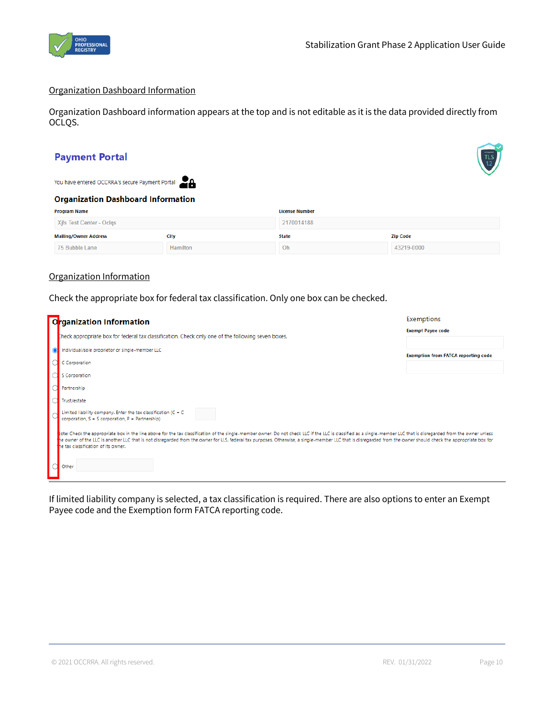

#### Organization Dashboard Information

Organization Dashboard information appears at the top and is not editable as it is the data provided directly from OCLQS.

# **Payment Portal**

You have entered OCCRRA's secure Payment Portal

#### **Organization Dashboard Information**

| Program Name                 |          | <b>License Number</b> |                 |  |
|------------------------------|----------|-----------------------|-----------------|--|
| Xifs Test Center - Oclgs     |          | 2170014188            |                 |  |
| <b>Mailing/Owner Address</b> | City     | <b>State</b>          | <b>Zip Code</b> |  |
| 75 Bubble Lane               | Hamilton | Oh                    | 43219-0000      |  |

#### Organization Information

Check the appropriate box for federal tax classification. Only one box can be checked.

|           | Organization Information                                                                                                                                                                                                                                                                                                                                                                                                                                                     | Exemptions                                 |
|-----------|------------------------------------------------------------------------------------------------------------------------------------------------------------------------------------------------------------------------------------------------------------------------------------------------------------------------------------------------------------------------------------------------------------------------------------------------------------------------------|--------------------------------------------|
|           | theck appropriate box for federal tax classification. Check only one of the following seven boxes.                                                                                                                                                                                                                                                                                                                                                                           | <b>Exempt Payee code</b>                   |
| $\bullet$ | Individual/sole proprietor or single-member LLC                                                                                                                                                                                                                                                                                                                                                                                                                              | <b>Exemption from FATCA reporting code</b> |
|           | C Corporation                                                                                                                                                                                                                                                                                                                                                                                                                                                                |                                            |
|           | S Corporation                                                                                                                                                                                                                                                                                                                                                                                                                                                                |                                            |
|           | Partnership                                                                                                                                                                                                                                                                                                                                                                                                                                                                  |                                            |
|           | Trust/estate                                                                                                                                                                                                                                                                                                                                                                                                                                                                 |                                            |
|           | Limited liability company. Enter the tax classification ( $C = C$<br>corporation, S = S corporation, P = Partnership)                                                                                                                                                                                                                                                                                                                                                        |                                            |
|           | ote: Check the appropriate box in the line above for the tax classification of the single-member owner. Do not check LLC if the LLC is classified as a single-member LLC that is disregarded from the owner unless<br>he owner of the LLC is another LLC that is not disregarded from the owner for U.S. federal tax purposes. Otherwise, a single-member LLC that is disregarded from the owner should check the appropriate box for<br>he tax classification of its owner. |                                            |
|           | Other                                                                                                                                                                                                                                                                                                                                                                                                                                                                        |                                            |

If limited liability company is selected, a tax classification is required. There are also options to enter an Exempt Payee code and the Exemption form FATCA reporting code.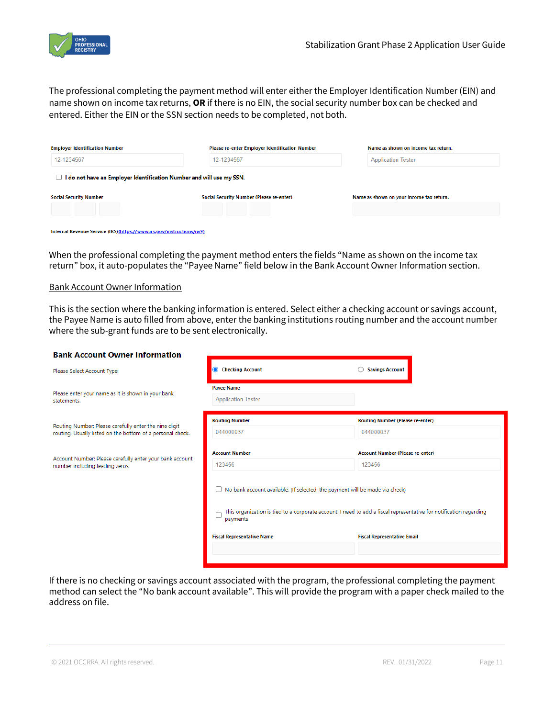

The professional completing the payment method will enter either the Employer Identification Number (EIN) and name shown on income tax returns, **OR** if there is no EIN, the social security number box can be checked and entered. Either the EIN or the SSN section needs to be completed, not both.

| <b>Employer Identification Number</b>                                | Please re-enter Employer Identification Number | Name as shown on income tax return.      |
|----------------------------------------------------------------------|------------------------------------------------|------------------------------------------|
| 12-1234567                                                           | 12-1234567                                     | <b>Application Tester</b>                |
| I do not have an Employer Identification Number and will use my SSN. |                                                |                                          |
| <b>Social Security Number</b>                                        | Social Security Number (Please re-enter)       | Name as shown on your income tax return. |
|                                                                      |                                                |                                          |
|                                                                      |                                                |                                          |

| Internal Revenue Service (IRS)(https://www.irs.gov/instructions/iw9) |
|----------------------------------------------------------------------|
|----------------------------------------------------------------------|

When the professional completing the payment method enters the fields "Name as shown on the income tax return" box, it auto-populates the "Payee Name" field below in the Bank Account Owner Information section.

#### Bank Account Owner Information

This is the section where the banking information is entered. Select either a checking account or savings account, the Payee Name is auto filled from above, enter the banking institutions routing number and the account number where the sub-grant funds are to be sent electronically.

| <b>Bank Account Owner Information</b>                                                                                                                                                                                      |                                                |                                    |  |  |  |  |
|----------------------------------------------------------------------------------------------------------------------------------------------------------------------------------------------------------------------------|------------------------------------------------|------------------------------------|--|--|--|--|
| Please Select Account Type:                                                                                                                                                                                                | <b>Checking Account</b><br>$\bullet$           | <b>Savings Account</b>             |  |  |  |  |
| Please enter your name as it is shown in your bank<br>statements.                                                                                                                                                          | <b>Payee Name</b><br><b>Application Tester</b> |                                    |  |  |  |  |
| Routing Number: Please carefully enter the nine digit<br>routing. Usually listed on the bottom of a personal check.                                                                                                        | <b>Routing Number</b>                          | Routing Number (Please re-enter)   |  |  |  |  |
|                                                                                                                                                                                                                            | 044000037                                      | 044000037                          |  |  |  |  |
| Account Number: Please carefully enter your bank account                                                                                                                                                                   | <b>Account Number</b>                          | Account Number (Please re-enter)   |  |  |  |  |
| number including leading zeros.                                                                                                                                                                                            | 123456                                         | 123456                             |  |  |  |  |
| $\Box$ No bank account available. (If selected, the payment will be made via check)<br>This organization is tied to a corporate account. I need to add a fiscal representative for notification regarding<br>С<br>payments |                                                |                                    |  |  |  |  |
|                                                                                                                                                                                                                            | <b>Fiscal Representative Name</b>              | <b>Fiscal Representative Email</b> |  |  |  |  |
|                                                                                                                                                                                                                            |                                                |                                    |  |  |  |  |
|                                                                                                                                                                                                                            |                                                |                                    |  |  |  |  |

If there is no checking or savings account associated with the program, the professional completing the payment method can select the "No bank account available". This will provide the program with a paper check mailed to the address on file.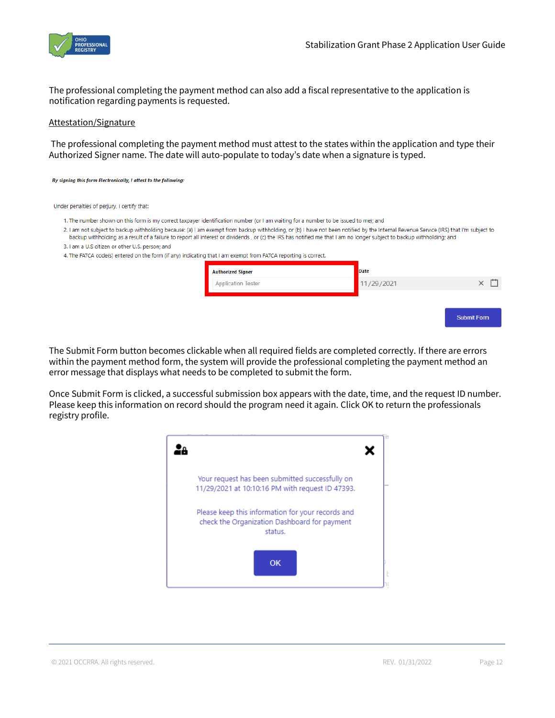

The professional completing the payment method can also add a fiscal representative to the application is notification regarding payments is requested.

#### Attestation/Signature

The professional completing the payment method must attest to the states within the application and type their Authorized Signer name. The date will auto-populate to today's date when a signature is typed.

#### By signing this form Electronically, I attest to the following:

#### Under penalties of perjury, I certify that:

- 1. The number shown on this form is my correct taxpayer identification number (or I am waiting for a number to be issued to me); and
- 2. I am not subject to backup withholding because: (a) I am exempt from backup withholding, or (b) I have not been notified by the Internal Revenue Service (IRS) that I'm subject to backup withholding as a result of a failure to report all interest or dividends, or (c) the IRS has notified me that I am no longer subject to backup withholding; and
- 3. I am a U.S citizen or other U.S. person; and
- 4. The FATCA code(s) entered on the form (if any) indicating that I am exempt from FATCA reporting is correct.

The Submit Form button becomes clickable when all required fields are completed correctly. If there are errors within the payment method form, the system will provide the professional completing the payment method an error message that displays what needs to be completed to submit the form.

Once Submit Form is clicked, a successful submission box appears with the date, time, and the request ID number. Please keep this information on record should the program need it again. Click OK to return the professionals registry profile.

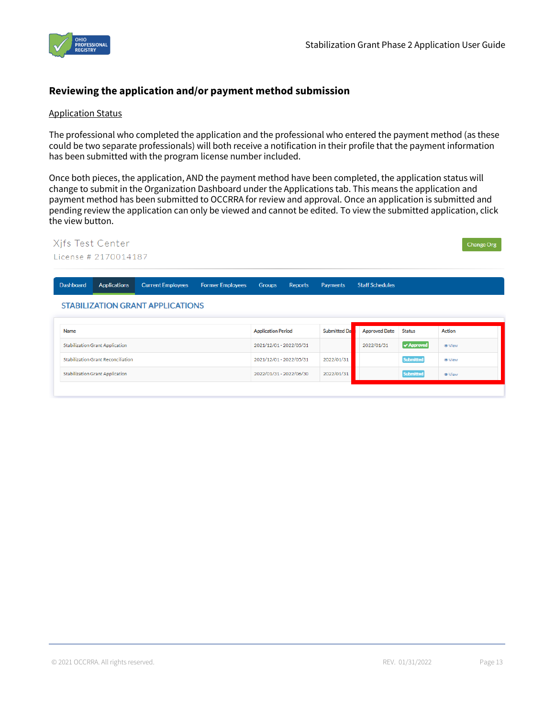

# **Reviewing the application and/or payment method submission**

#### Application Status

The professional who completed the application and the professional who entered the payment method (as these could be two separate professionals) will both receive a notification in their profile that the payment information has been submitted with the program license number included.

Once both pieces, the application, AND the payment method have been completed, the application status will change to submit in the Organization Dashboard under the Applications tab. This means the application and payment method has been submitted to OCCRRA for review and approval. Once an application is submitted and pending review the application can only be viewed and cannot be edited. To view the submitted application, click the view button.

#### Xifs Test Center Change Org License # 2170014187 Dashboard Applications **Current Employees Former Employees** Groups Reports Payments **Staff Schedules STABILIZATION GRANT APPLICATIONS**

| Name                               | <b>Application Period</b> | <b>Submitted Dal</b> | <b>Approved Date</b> | <b>Status</b>    | <b>Action</b> |
|------------------------------------|---------------------------|----------------------|----------------------|------------------|---------------|
| Stabilization Grant Application    | 2021/12/01 - 2022/05/31   |                      | 2022/01/31           | $\vee$ Approved  | <b>O</b> View |
| Stabilization Grant Reconciliation | 2021/12/01 - 2022/05/31   | 2022/01/31           |                      | <b>Submitted</b> | <b>⊕</b> View |
| Stabilization Grant Application    | 2022/01/31 - 2022/06/30   | 2022/01/31           |                      | <b>Submitted</b> | <b>O</b> View |
|                                    |                           |                      |                      |                  |               |